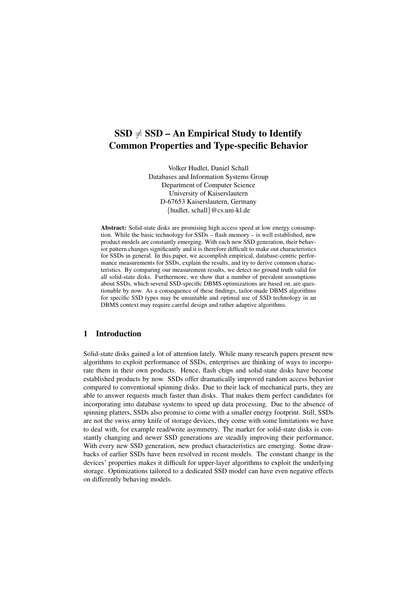# $SSD \neq SSD - An Empirical Study to Identity$ Common Properties and Type-specific Behavior

Volker Hudlet, Daniel Schall Databases and Information Systems Group Department of Computer Science University of Kaiserslautern D-67653 Kaiserslautern, Germany {hudlet, schall}@cs.uni-kl.de

Abstract: Solid-state disks are promising high access speed at low energy consumption. While the basic technology for SSDs – flash memory – is well established, new product models are constantly emerging. With each new SSD generation, their behavior pattern changes significantly and it is therefore difficult to make out characteristics for SSDs in general. In this paper, we accomplish empirical, database-centric performance measurements for SSDs, explain the results, and try to derive common characteristics. By comparing our measurement results, we detect no ground truth valid for all solid-state disks. Furthermore, we show that a number of prevalent assumptions about SSDs, which several SSD-specific DBMS optimizations are based on, are questionable by now. As a consequence of these findings, tailor-made DBMS algorithms for specific SSD types may be unsuitable and optimal use of SSD technology in an DBMS context may require careful design and rather adaptive algorithms.

# 1 Introduction

Solid-state disks gained a lot of attention lately. While many research papers present new algorithms to exploit performance of SSDs, enterprises are thinking of ways to incorporate them in their own products. Hence, flash chips and solid-state disks have become established products by now. SSDs offer dramatically improved random access behavior compared to conventional spinning disks. Due to their lack of mechanical parts, they are able to answer requests much faster than disks. That makes them perfect candidates for incorporating into database systems to speed up data processing. Due to the absence of spinning platters, SSDs also promise to come with a smaller energy footprint. Still, SSDs are not the swiss army knife of storage devices, they come with some limitations we have to deal with, for example read/write asymmetry. The market for solid-state disks is constantly changing and newer SSD generations are steadily improving their performance. With every new SSD generation, new product characteristics are emerging. Some drawbacks of earlier SSDs have been resolved in recent models. The constant change in the devices' properties makes it difficult for upper-layer algorithms to exploit the underlying storage. Optimizations tailored to a dedicated SSD model can have even negative effects on differently behaving models.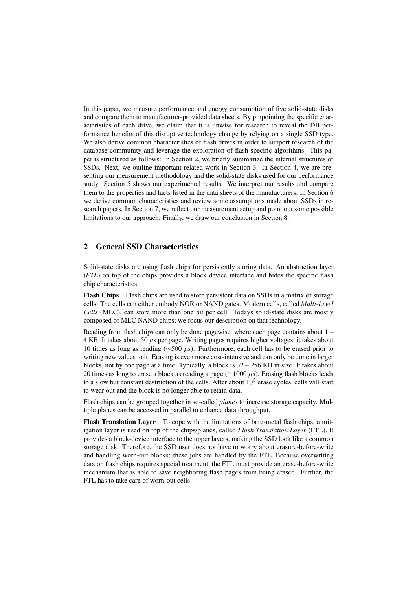In this paper, we measure performance and energy consumption of five solid-state disks and compare them to manufacturer-provided data sheets. By pinpointing the specific characteristics of each drive, we claim that it is unwise for research to reveal the DB performance benefits of this disruptive technology change by relying on a single SSD type. We also derive common characteristics of flash drives in order to support research of the database community and leverage the exploration of flash-specific algorithms. This paper is structured as follows: In Section 2, we briefly summarize the internal structures of SSDs. Next, we outline important related work in Section 3. In Section 4, we are presenting our measurement methodology and the solid-state disks used for our performance study. Section 5 shows our experimental results. We interpret our results and compare them to the properties and facts listed in the data sheets of the manufacturers. In Section 6 we derive common characteristics and review some assumptions made about SSDs in research papers. In Section 7, we reflect our measurement setup and point out some possible limitations to our approach. Finally, we draw our conclusion in Section 8.

# 2 General SSD Characteristics

Solid-state disks are using flash chips for persistently storing data. An abstraction layer (*FTL*) on top of the chips provides a block device interface and hides the specific flash chip characteristics.

Flash Chips Flash chips are used to store persistent data on SSDs in a matrix of storage cells. The cells can either embody NOR or NAND gates. Modern cells, called *Multi-Level Cells* (MLC), can store more than one bit per cell. Todays solid-state disks are mostly composed of MLC NAND chips; we focus our description on that technology.

Reading from flash chips can only be done pagewise, where each page contains about 1 –  $4$  KB. It takes about 50  $\mu$ s per page. Writing pages requires higher voltages, it takes about 10 times as long as reading (∼500 µs). Furthermore, each cell has to be erased prior to writing new values to it. Erasing is even more cost-intensive and can only be done in larger blocks, not by one page at a time. Typically, a block is  $32 - 256$  KB in size. It takes about 20 times as long to erase a block as reading a page ( $\sim$ 1000  $\mu$ s). Erasing flash blocks leads to a slow but constant destruction of the cells. After about  $10^5$  erase cycles, cells will start to wear out and the block is no longer able to retain data.

Flash chips can be grouped together in so-called *planes* to increase storage capacity. Multiple planes can be accessed in parallel to enhance data throughput.

Flash Translation Layer To cope with the limitations of bare-metal flash chips, a mitigation layer is used on top of the chips/planes, called *Flash Translation Layer* (FTL). It provides a block-device interface to the upper layers, making the SSD look like a common storage disk. Therefore, the SSD user does not have to worry about erasure-before-write and handling worn-out blocks; these jobs are handled by the FTL. Because overwriting data on flash chips requires special treatment, the FTL must provide an erase-before-write mechanism that is able to save neighboring flash pages from being erased. Further, the FTL has to take care of worn-out cells.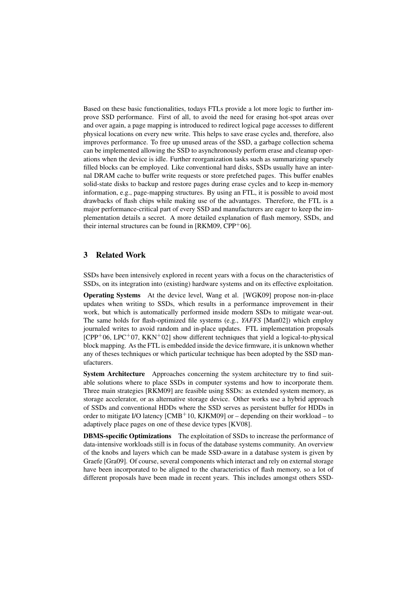Based on these basic functionalities, todays FTLs provide a lot more logic to further improve SSD performance. First of all, to avoid the need for erasing hot-spot areas over and over again, a page mapping is introduced to redirect logical page accesses to different physical locations on every new write. This helps to save erase cycles and, therefore, also improves performance. To free up unused areas of the SSD, a garbage collection schema can be implemented allowing the SSD to asynchronously perform erase and cleanup operations when the device is idle. Further reorganization tasks such as summarizing sparsely filled blocks can be employed. Like conventional hard disks, SSDs usually have an internal DRAM cache to buffer write requests or store prefetched pages. This buffer enables solid-state disks to backup and restore pages during erase cycles and to keep in-memory information, e.g., page-mapping structures. By using an FTL, it is possible to avoid most drawbacks of flash chips while making use of the advantages. Therefore, the FTL is a major performance-critical part of every SSD and manufacturers are eager to keep the implementation details a secret. A more detailed explanation of flash memory, SSDs, and their internal structures can be found in  $[RKM09, CPP<sup>+</sup>06]$ .

#### 3 Related Work

SSDs have been intensively explored in recent years with a focus on the characteristics of SSDs, on its integration into (existing) hardware systems and on its effective exploitation.

Operating Systems At the device level, Wang et al. [WGK09] propose non-in-place updates when writing to SSDs, which results in a performance improvement in their work, but which is automatically performed inside modern SSDs to mitigate wear-out. The same holds for flash-optimized file systems (e.g., *YAFFS* [Man02]) which employ journaled writes to avoid random and in-place updates. FTL implementation proposals  $[CPP<sup>+</sup>06, LPC<sup>+</sup>07, KKN<sup>+</sup>02]$  show different techniques that yield a logical-to-physical block mapping. As the FTL is embedded inside the device firmware, it is unknown whether any of theses techniques or which particular technique has been adopted by the SSD manufacturers.

System Architecture Approaches concerning the system architecture try to find suitable solutions where to place SSDs in computer systems and how to incorporate them. Three main strategies [RKM09] are feasible using SSDs: as extended system memory, as storage accelerator, or as alternative storage device. Other works use a hybrid approach of SSDs and conventional HDDs where the SSD serves as persistent buffer for HDDs in order to mitigate I/O latency  $\text{[CMB+10, KJKM09]}$  or – depending on their workload – to adaptively place pages on one of these device types [KV08].

DBMS-specific Optimizations The exploitation of SSDs to increase the performance of data-intensive workloads still is in focus of the database systems community. An overview of the knobs and layers which can be made SSD-aware in a database system is given by Graefe [Gra09]. Of course, several components which interact and rely on external storage have been incorporated to be aligned to the characteristics of flash memory, so a lot of different proposals have been made in recent years. This includes amongst others SSD-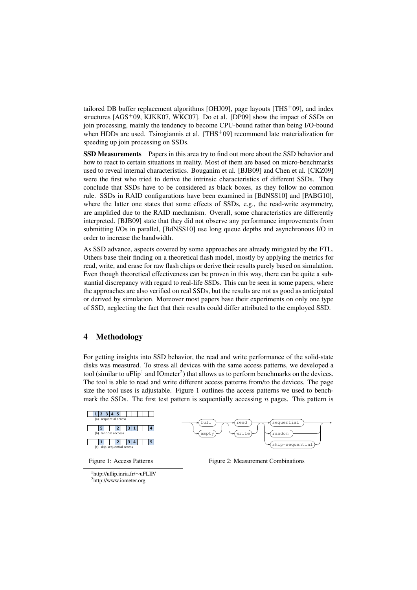tailored DB buffer replacement algorithms [OHJ09], page layouts  $[THS^+09]$ , and index structures  $[AGS^+09, KJKK07, WKCO7]$ . Do et al. [DP09] show the impact of SSDs on join processing, mainly the tendency to become CPU-bound rather than being I/O-bound when HDDs are used. Tsirogiannis et al.  $[THS+09]$  recommend late materialization for speeding up join processing on SSDs.

SSD Measurements Papers in this area try to find out more about the SSD behavior and how to react to certain situations in reality. Most of them are based on micro-benchmarks used to reveal internal characteristics. Bouganim et al. [BJB09] and Chen et al. [CKZ09] were the first who tried to derive the intrinsic characteristics of different SSDs. They conclude that SSDs have to be considered as black boxes, as they follow no common rule. SSDs in RAID configurations have been examined in [BdNSS10] and [PABG10], where the latter one states that some effects of SSDs, e.g., the read-write asymmetry, are amplified due to the RAID mechanism. Overall, some characteristics are differently interpreted. [BJB09] state that they did not observe any performance improvements from submitting I/Os in parallel, [BdNSS10] use long queue depths and asynchronous I/O in order to increase the bandwidth.

As SSD advance, aspects covered by some approaches are already mitigated by the FTL. Others base their finding on a theoretical flash model, mostly by applying the metrics for read, write, and erase for raw flash chips or derive their results purely based on simulation. Even though theoretical effectiveness can be proven in this way, there can be quite a substantial discrepancy with regard to real-life SSDs. This can be seen in some papers, where the approaches are also verified on real SSDs, but the results are not as good as anticipated or derived by simulation. Moreover most papers base their experiments on only one type of SSD, neglecting the fact that their results could differ attributed to the employed SSD.

#### 4 Methodology

For getting insights into SSD behavior, the read and write performance of the solid-state disks was measured. To stress all devices with the same access patterns, we developed a tool (similar to uFlip<sup>1</sup> and IOmeter<sup>2</sup>) that allows us to perform benchmarks on the devices. The tool is able to read and write different access patterns from/to the devices. The page size the tool uses is adjustable. Figure 1 outlines the access patterns we used to benchmark the SSDs. The first test pattern is sequentially accessing  $n$  pages. This pattern is



Figure 2: Measurement Combinations

<sup>1</sup>http://uflip.inria.fr/∼uFLIP/ <sup>2</sup>http://www.iometer.org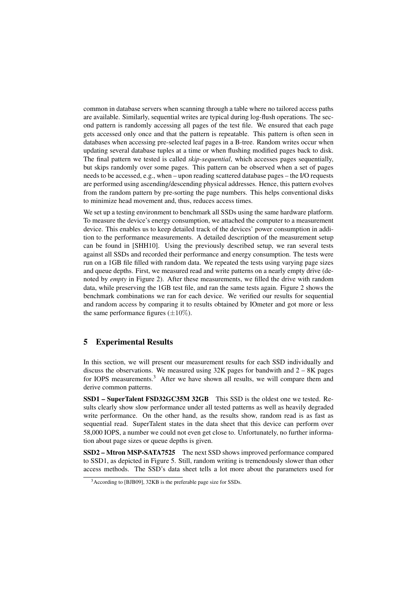common in database servers when scanning through a table where no tailored access paths are available. Similarly, sequential writes are typical during log-flush operations. The second pattern is randomly accessing all pages of the test file. We ensured that each page gets accessed only once and that the pattern is repeatable. This pattern is often seen in databases when accessing pre-selected leaf pages in a B-tree. Random writes occur when updating several database tuples at a time or when flushing modified pages back to disk. The final pattern we tested is called *skip-sequential*, which accesses pages sequentially, but skips randomly over some pages. This pattern can be observed when a set of pages needs to be accessed, e.g., when – upon reading scattered database pages – the I/O requests are performed using ascending/descending physical addresses. Hence, this pattern evolves from the random pattern by pre-sorting the page numbers. This helps conventional disks to minimize head movement and, thus, reduces access times.

We set up a testing environment to benchmark all SSDs using the same hardware platform. To measure the device's energy consumption, we attached the computer to a measurement device. This enables us to keep detailed track of the devices' power consumption in addition to the performance measurements. A detailed description of the measurement setup can be found in [SHH10]. Using the previously described setup, we ran several tests against all SSDs and recorded their performance and energy consumption. The tests were run on a 1GB file filled with random data. We repeated the tests using varying page sizes and queue depths. First, we measured read and write patterns on a nearly empty drive (denoted by *empty* in Figure 2). After these measurements, we filled the drive with random data, while preserving the 1GB test file, and ran the same tests again. Figure 2 shows the benchmark combinations we ran for each device. We verified our results for sequential and random access by comparing it to results obtained by IOmeter and got more or less the same performance figures  $(\pm 10\%)$ .

## 5 Experimental Results

In this section, we will present our measurement results for each SSD individually and discuss the observations. We measured using 32K pages for bandwith and 2 – 8K pages for IOPS measurements.<sup>3</sup> After we have shown all results, we will compare them and derive common patterns.

SSD1 – SuperTalent FSD32GC35M 32GB This SSD is the oldest one we tested. Results clearly show slow performance under all tested patterns as well as heavily degraded write performance. On the other hand, as the results show, random read is as fast as sequential read. SuperTalent states in the data sheet that this device can perform over 58,000 IOPS, a number we could not even get close to. Unfortunately, no further information about page sizes or queue depths is given.

SSD2 – Mtron MSP-SATA7525 The next SSD shows improved performance compared to SSD1, as depicted in Figure 5. Still, random writing is tremendously slower than other access methods. The SSD's data sheet tells a lot more about the parameters used for

<sup>3</sup>According to [BJB09], 32KB is the preferable page size for SSDs.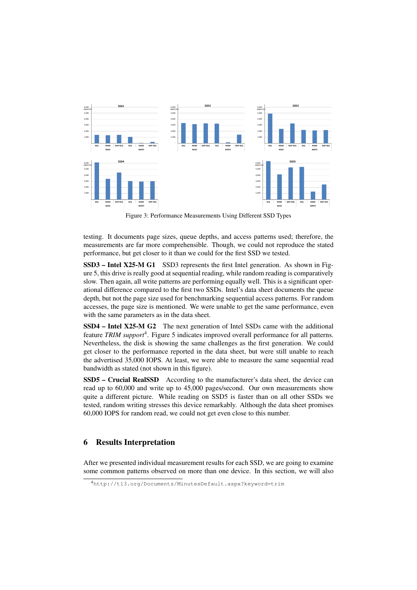

Figure 3: Performance Measurements Using Different SSD Types

testing. It documents page sizes, queue depths, and access patterns used; therefore, the measurements are far more comprehensible. Though, we could not reproduce the stated performance, but get closer to it than we could for the first SSD we tested.

SSD3 – Intel X25-M G1 SSD3 represents the first Intel generation. As shown in Figure 5, this drive is really good at sequential reading, while random reading is comparatively slow. Then again, all write patterns are performing equally well. This is a significant operational difference compared to the first two SSDs. Intel's data sheet documents the queue depth, but not the page size used for benchmarking sequential access patterns. For random accesses, the page size is mentioned. We were unable to get the same performance, even with the same parameters as in the data sheet.

SSD4 – Intel X25-M G2 The next generation of Intel SSDs came with the additional feature TRIM support<sup>4</sup>. Figure 5 indicates improved overall performance for all patterns. Nevertheless, the disk is showing the same challenges as the first generation. We could get closer to the performance reported in the data sheet, but were still unable to reach the advertised 35,000 IOPS. At least, we were able to measure the same sequential read bandwidth as stated (not shown in this figure).

SSD5 – Crucial RealSSD According to the manufacturer's data sheet, the device can read up to 60,000 and write up to 45,000 pages/second. Our own measurements show quite a different picture. While reading on SSD5 is faster than on all other SSDs we tested, random writing stresses this device remarkably. Although the data sheet promises 60,000 IOPS for random read, we could not get even close to this number.

## 6 Results Interpretation

After we presented individual measurement results for each SSD, we are going to examine some common patterns observed on more than one device. In this section, we will also

<sup>4</sup>http://t13.org/Documents/MinutesDefault.aspx?keyword=trim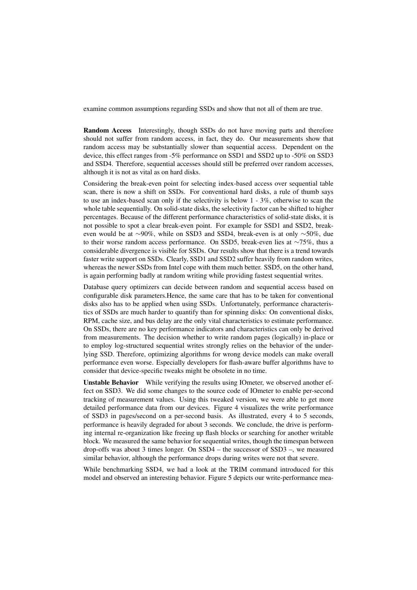examine common assumptions regarding SSDs and show that not all of them are true.

Random Access Interestingly, though SSDs do not have moving parts and therefore should not suffer from random access, in fact, they do. Our measurements show that random access may be substantially slower than sequential access. Dependent on the device, this effect ranges from -5% performance on SSD1 and SSD2 up to -50% on SSD3 and SSD4. Therefore, sequential accesses should still be preferred over random accesses, although it is not as vital as on hard disks.

Considering the break-even point for selecting index-based access over sequential table scan, there is now a shift on SSDs. For conventional hard disks, a rule of thumb says to use an index-based scan only if the selectivity is below 1 - 3%, otherwise to scan the whole table sequentially. On solid-state disks, the selectivity factor can be shifted to higher percentages. Because of the different performance characteristics of solid-state disks, it is not possible to spot a clear break-even point. For example for SSD1 and SSD2, breakeven would be at ∼90%, while on SSD3 and SSD4, break-even is at only ∼50%, due to their worse random access performance. On SSD5, break-even lies at ∼75%, thus a considerable divergence is visible for SSDs. Our results show that there is a trend towards faster write support on SSDs. Clearly, SSD1 and SSD2 suffer heavily from random writes, whereas the newer SSDs from Intel cope with them much better. SSD5, on the other hand, is again performing badly at random writing while providing fastest sequential writes.

Database query optimizers can decide between random and sequential access based on configurable disk parameters.Hence, the same care that has to be taken for conventional disks also has to be applied when using SSDs. Unfortunately, performance characteristics of SSDs are much harder to quantify than for spinning disks: On conventional disks, RPM, cache size, and bus delay are the only vital characteristics to estimate performance. On SSDs, there are no key performance indicators and characteristics can only be derived from measurements. The decision whether to write random pages (logically) in-place or to employ log-structured sequential writes strongly relies on the behavior of the underlying SSD. Therefore, optimizing algorithms for wrong device models can make overall performance even worse. Especially developers for flash-aware buffer algorithms have to consider that device-specific tweaks might be obsolete in no time.

Unstable Behavior While verifying the results using IOmeter, we observed another effect on SSD3. We did some changes to the source code of IOmeter to enable per-second tracking of measurement values. Using this tweaked version, we were able to get more detailed performance data from our devices. Figure 4 visualizes the write performance of SSD3 in pages/second on a per-second basis. As illustrated, every 4 to 5 seconds, performance is heavily degraded for about 3 seconds. We conclude, the drive is performing internal re-organization like freeing up flash blocks or searching for another writable block. We measured the same behavior for sequential writes, though the timespan between drop-offs was about 3 times longer. On SSD4 – the successor of SSD3 –, we measured similar behavior, although the performance drops during writes were not that severe.

While benchmarking SSD4, we had a look at the TRIM command introduced for this model and observed an interesting behavior. Figure 5 depicts our write-performance mea-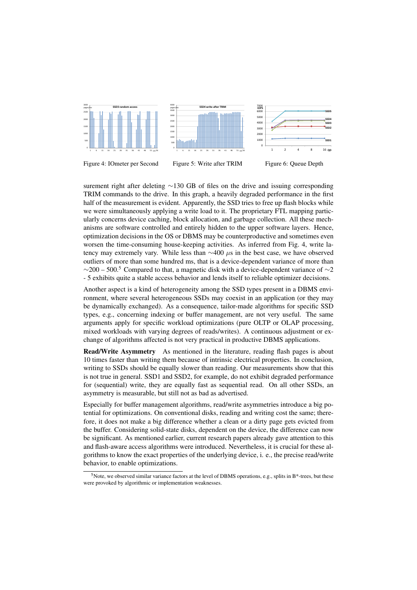

surement right after deleting ∼130 GB of files on the drive and issuing corresponding TRIM commands to the drive. In this graph, a heavily degraded performance in the first half of the measurement is evident. Apparently, the SSD tries to free up flash blocks while we were simultaneously applying a write load to it. The proprietary FTL mapping particularly concerns device caching, block allocation, and garbage collection. All these mechanisms are software controlled and entirely hidden to the upper software layers. Hence, optimization decisions in the OS or DBMS may be counterproductive and sometimes even worsen the time-consuming house-keeping activities. As inferred from Fig. 4, write latency may extremely vary. While less than  $\sim$ 400  $\mu$ s in the best case, we have observed outliers of more than some hundred ms, that is a device-dependent variance of more than  $\sim$ 200 – 500.<sup>5</sup> Compared to that, a magnetic disk with a device-dependent variance of  $\sim$ 2 - 5 exhibits quite a stable access behavior and lends itself to reliable optimizer decisions.

Another aspect is a kind of heterogeneity among the SSD types present in a DBMS environment, where several heterogeneous SSDs may coexist in an application (or they may be dynamically exchanged). As a consequence, tailor-made algorithms for specific SSD types, e.g., concerning indexing or buffer management, are not very useful. The same arguments apply for specific workload optimizations (pure OLTP or OLAP processing, mixed workloads with varying degrees of reads/writes). A continuous adjustment or exchange of algorithms affected is not very practical in productive DBMS applications.

Read/Write Asymmetry As mentioned in the literature, reading flash pages is about 10 times faster than writing them because of intrinsic electrical properties. In conclusion, writing to SSDs should be equally slower than reading. Our measurements show that this is not true in general. SSD1 and SSD2, for example, do not exhibit degraded performance for (sequential) write, they are equally fast as sequential read. On all other SSDs, an asymmetry is measurable, but still not as bad as advertised.

Especially for buffer management algorithms, read/write asymmetries introduce a big potential for optimizations. On conventional disks, reading and writing cost the same; therefore, it does not make a big difference whether a clean or a dirty page gets evicted from the buffer. Considering solid-state disks, dependent on the device, the difference can now be significant. As mentioned earlier, current research papers already gave attention to this and flash-aware access algorithms were introduced. Nevertheless, it is crucial for these algorithms to know the exact properties of the underlying device, i. e., the precise read/write behavior, to enable optimizations.

<sup>&</sup>lt;sup>5</sup>Note, we observed similar variance factors at the level of DBMS operations, e.g., splits in B<sup>\*</sup>-trees, but these were provoked by algorithmic or implementation weaknesses.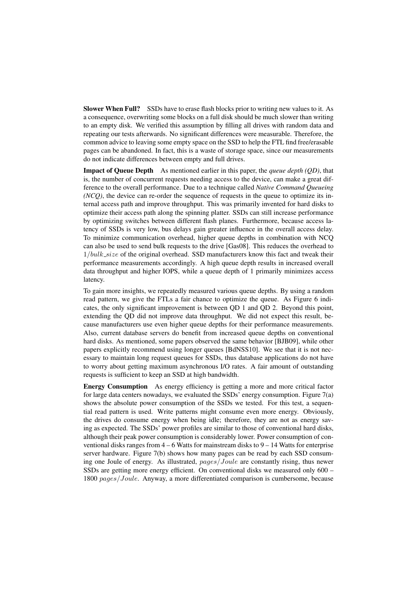Slower When Full? SSDs have to erase flash blocks prior to writing new values to it. As a consequence, overwriting some blocks on a full disk should be much slower than writing to an empty disk. We verified this assumption by filling all drives with random data and repeating our tests afterwards. No significant differences were measurable. Therefore, the common advice to leaving some empty space on the SSD to help the FTL find free/erasable pages can be abandoned. In fact, this is a waste of storage space, since our measurements do not indicate differences between empty and full drives.

Impact of Queue Depth As mentioned earlier in this paper, the *queue depth (QD)*, that is, the number of concurrent requests needing access to the device, can make a great difference to the overall performance. Due to a technique called *Native Command Queueing (NCQ)*, the device can re-order the sequence of requests in the queue to optimize its internal access path and improve throughput. This was primarily invented for hard disks to optimize their access path along the spinning platter. SSDs can still increase performance by optimizing switches between different flash planes. Furthermore, because access latency of SSDs is very low, bus delays gain greater influence in the overall access delay. To minimize communication overhead, higher queue depths in combination with NCQ can also be used to send bulk requests to the drive [Gas08]. This reduces the overhead to  $1/bulk\_size$  of the original overhead. SSD manufacturers know this fact and tweak their performance measurements accordingly. A high queue depth results in increased overall data throughput and higher IOPS, while a queue depth of 1 primarily minimizes access latency.

To gain more insights, we repeatedly measured various queue depths. By using a random read pattern, we give the FTLs a fair chance to optimize the queue. As Figure 6 indicates, the only significant improvement is between QD 1 and QD 2. Beyond this point, extending the QD did not improve data throughput. We did not expect this result, because manufacturers use even higher queue depths for their performance measurements. Also, current database servers do benefit from increased queue depths on conventional hard disks. As mentioned, some papers observed the same behavior [BJB09], while other papers explicitly recommend using longer queues [BdNSS10]. We see that it is not necessary to maintain long request queues for SSDs, thus database applications do not have to worry about getting maximum asynchronous I/O rates. A fair amount of outstanding requests is sufficient to keep an SSD at high bandwidth.

Energy Consumption As energy efficiency is getting a more and more critical factor for large data centers nowadays, we evaluated the SSDs' energy consumption. Figure 7(a) shows the absolute power consumption of the SSDs we tested. For this test, a sequential read pattern is used. Write patterns might consume even more energy. Obviously, the drives do consume energy when being idle; therefore, they are not as energy saving as expected. The SSDs' power profiles are similar to those of conventional hard disks, although their peak power consumption is considerably lower. Power consumption of conventional disks ranges from 4 – 6 Watts for mainstream disks to 9 – 14 Watts for enterprise server hardware. Figure 7(b) shows how many pages can be read by each SSD consuming one Joule of energy. As illustrated, pages/Joule are constantly rising, thus newer SSDs are getting more energy efficient. On conventional disks we measured only 600 – 1800 pages/Joule. Anyway, a more differentiated comparison is cumbersome, because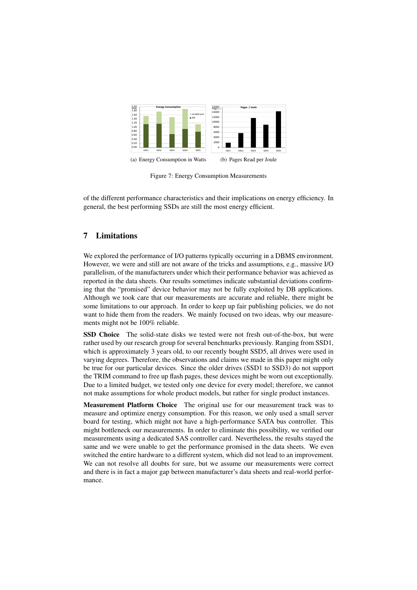

Figure 7: Energy Consumption Measurements

of the different performance characteristics and their implications on energy efficiency. In general, the best performing SSDs are still the most energy efficient.

# 7 Limitations

We explored the performance of I/O patterns typically occurring in a DBMS environment. However, we were and still are not aware of the tricks and assumptions, e.g., massive I/O parallelism, of the manufacturers under which their performance behavior was achieved as reported in the data sheets. Our results sometimes indicate substantial deviations confirming that the "promised" device behavior may not be fully exploited by DB applications. Although we took care that our measurements are accurate and reliable, there might be some limitations to our approach. In order to keep up fair publishing policies, we do not want to hide them from the readers. We mainly focused on two ideas, why our measurements might not be 100% reliable.

SSD Choice The solid-state disks we tested were not fresh out-of-the-box, but were rather used by our research group for several benchmarks previously. Ranging from SSD1, which is approximately 3 years old, to our recently bought SSD5, all drives were used in varying degrees. Therefore, the observations and claims we made in this paper might only be true for our particular devices. Since the older drives (SSD1 to SSD3) do not support the TRIM command to free up flash pages, these devices might be worn out exceptionally. Due to a limited budget, we tested only one device for every model; therefore, we cannot not make assumptions for whole product models, but rather for single product instances.

Measurement Platform Choice The original use for our measurement track was to measure and optimize energy consumption. For this reason, we only used a small server board for testing, which might not have a high-performance SATA bus controller. This might bottleneck our measurements. In order to eliminate this possibility, we verified our measurements using a dedicated SAS controller card. Nevertheless, the results stayed the same and we were unable to get the performance promised in the data sheets. We even switched the entire hardware to a different system, which did not lead to an improvement. We can not resolve all doubts for sure, but we assume our measurements were correct and there is in fact a major gap between manufacturer's data sheets and real-world performance.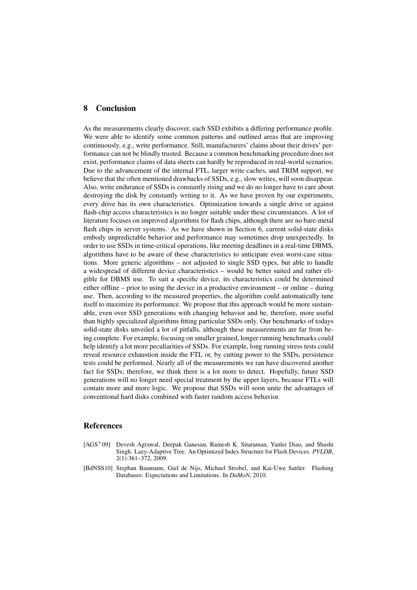#### 8 Conclusion

As the measurements clearly discover, each SSD exhibits a differing performance profile. We were able to identify some common patterns and outlined areas that are improving continuously, e.g., write performance. Still, manufacturers' claims about their drives' performance can not be blindly trusted. Because a common benchmarking procedure does not exist, performance claims of data sheets can hardly be reproduced in real-world scenarios. Due to the advancement of the internal FTL, larger write caches, and TRIM support, we believe that the often mentioned drawbacks of SSDs, e.g., slow writes, will soon disappear. Also, write endurance of SSDs is constantly rising and we do no longer have to care about destroying the disk by constantly writing to it. As we have proven by our experiments, every drive has its own characteristics. Optimization towards a single drive or against flash-chip access characteristics is no longer suitable under these circumstances. A lot of literature focuses on improved algorithms for flash chips, although there are no bare-metal flash chips in server systems. As we have shown in Section 6, current solid-state disks embody unpredictable behavior and performance may sometimes drop unexpectedly. In order to use SSDs in time-critical operations, like meeting deadlines in a real-time DBMS, algorithms have to be aware of these characteristics to anticipate even worst-case situations. More generic algorithms – not adjusted to single SSD types, but able to handle a widespread of different device characteristics – would be better suited and rather eligible for DBMS use. To suit a specific device, its characteristics could be determined either offline – prior to using the device in a productive environment – or online – during use. Then, according to the measured properties, the algorithm could automatically tune itself to maximize its performance. We propose that this approach would be more sustainable, even over SSD generations with changing behavior and be, therefore, more useful than highly specialized algorithms fitting particular SSDs only. Our benchmarks of todays solid-state disks unveiled a lot of pitfalls, although these measurements are far from being complete. For example, focusing on smaller grained, longer running benchmarks could help identify a lot more peculiarities of SSDs. For example, long running stress tests could reveal resource exhaustion inside the FTL or, by cutting power to the SSDs, persistence tests could be performed. Nearly all of the measurements we ran have discovered another fact for SSDs; therefore, we think there is a lot more to detect. Hopefully, future SSD generations will no longer need special treatment by the upper layers, because FTLs will contain more and more logic. We propose that SSDs will soon unite the advantages of conventional hard disks combined with faster random access behavior.

## **References**

- [AGS<sup>+</sup>09] Devesh Agrawal, Deepak Ganesan, Ramesh K. Sitaraman, Yanlei Diao, and Shashi Singh. Lazy-Adaptive Tree: An Optimized Index Structure for Flash Devices. *PVLDB*, 2(1):361–372, 2009.
- [BdNSS10] Stephan Baumann, Giel de Nijs, Michael Strobel, and Kai-Uwe Sattler. Flashing Databases: Expectations and Limitations. In *DaMoN*, 2010.